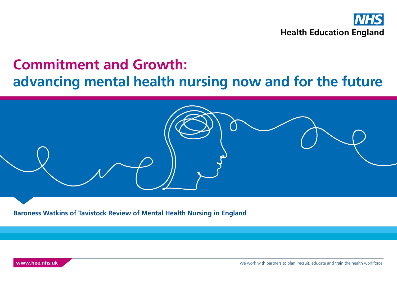

# **Commitment and Growth: advancing mental health nursing now and for the future**



**Baroness Watkins of Tavistock Review of Mental Health Nursing in England** 

**[www.hee.nhs.uk](http://www.hee.nhs.uk)** We work with partners to plan, recruit, educate and train the health workforce.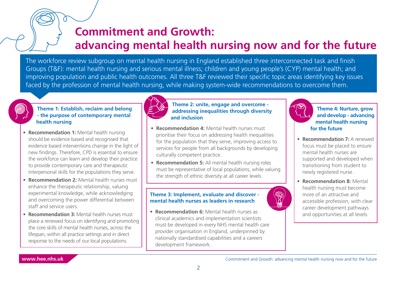# **Commitment and Growth: advancing mental health nursing now and for the future**

The workforce review subgroup on mental health nursing in England established three interconnected task and finish Groups (T&F): mental health nursing and serious mental illness; children and young people's (CYP) mental health; and improving population and public health outcomes. All three T&F reviewed their specific topic areas identifying key issues faced by the profession of mental health nursing, while making system-wide recommendations to overcome them.

#### **Theme 1: Establish, reclaim and belong - the purpose of contemporary mental health nursing**

- **Recommendation 1:** Mental health nursing should be evidence based and recognised that evidence based interventions change in the light of new findings. Therefore, CPD is essential to ensure the workforce can learn and develop their practice to provide contemporary care and therapeutic interpersonal skills for the populations they serve.
- **Recommendation 2:** Mental health nurses must enhance the therapeutic relationship, valuing experimental knowledge, while acknowledging and overcoming the power differential between staff and service users.
- **Recommendation 3:** Mental health nurses must place a renewed focus on identifying and promoting the core skills of mental health nurses, across the lifespan, within all practice settings and in direct response to the needs of our local populations.



#### **Theme 2: unite, engage and overcome addressing inequalities through diversity and inclusion**

- **Recommendation 4:** Mental health nurses must prioritise their focus on addressing health inequalities for the population that they serve, improving access to services for people from all backgrounds by developing culturally competent practice.
- **Recommendation 5:** All mental health nursing roles must be representative of local populations, while valuing the strength of ethnic diversity at all career levels.

#### **Theme 3: Implement, evaluate and discover mental health nurses as leaders in research**

• **Recommendation 6:** Mental health nurses as clinical academics and implementation scientists must be developed in every NHS mental health care provider organisation in England, underpinned by nationally standardised capabilities and a careers development framework.



**Theme 4: Nurture, grow and develop - advancing mental health nursing for the future**

- **Recommendation 7:** A renewed focus must be placed to ensure mental health nurses are supported and developed when transitioning from student to newly registered nurse.
- **Recommendation 8:** Mental health nursing must become more of an attractive and accessible profession, with clear career development pathways and opportunities at all levels.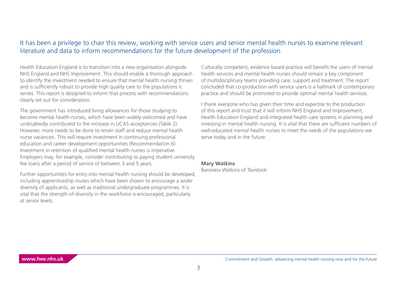### It has been a privilege to chair this review, working with service users and senior mental health nurses to examine relevant literature and data to inform recommendations for the future development of the profession.

Health Education England is to transition into a new organisation alongside NHS England and NHS Improvement. This should enable a thorough approach to identify the investment needed to ensure that mental health nursing thrives and is sufficiently robust to provide high quality care to the populations it serves. This report is designed to inform that process with recommendations clearly set out for consideration.

The government has introduced living allowances for those studying to become mental health nurses, which have been widely welcomed and have undoubtedly contributed to the increase in UCAS acceptances (Table 2). However, more needs to be done to retain staff and reduce mental health nurse vacancies. This will require investment in continuing professional education and career development opportunities (Recommendation 6). Investment in retention of qualified mental health nurses is imperative. Employers may, for example, consider contributing to paying student university fee loans after a period of service of between 3 and 5 years.

Further opportunities for entry into mental health nursing should be developed, including apprenticeship routes which have been shown to encourage a wider diversity of applicants, as well as traditional undergraduate programmes. It is vital that the strength of diversity in the workforce is encouraged, particularly at senior levels.

Culturally competent, evidence based practice will benefit the users of mental health services and mental health nurses should remain a key component of multidisciplinary teams providing care, support and treatment. The report concluded that co-production with service users is a hallmark of contemporary practice and should be promoted to provide optimal mental health services.

I thank everyone who has given their time and expertise to the production of this report and trust that it will inform NHS England and Improvement, Health Education England and integrated health care systems in planning and investing in mental health nursing. It is vital that there are sufficient numbers of well-educated mental health nurses to meet the needs of the populations we serve today and in the future.

### **Mary Watkins**

Baroness Watkins of Tavistock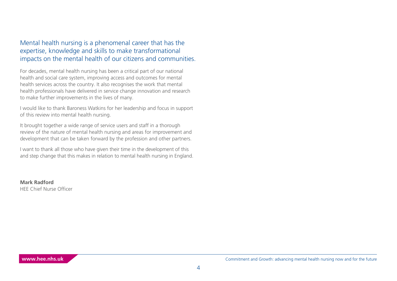Mental health nursing is a phenomenal career that has the expertise, knowledge and skills to make transformational impacts on the mental health of our citizens and communities.

For decades, mental health nursing has been a critical part of our national health and social care system, improving access and outcomes for mental health services across the country. It also recognises the work that mental health professionals have delivered in service change innovation and research to make further improvements in the lives of many.

I would like to thank Baroness Watkins for her leadership and focus in support of this review into mental health nursing.

It brought together a wide range of service users and staff in a thorough review of the nature of mental health nursing and areas for improvement and development that can be taken forward by the profession and other partners.

I want to thank all those who have given their time in the development of this and step change that this makes in relation to mental health nursing in England.

**Mark Radford** HEE Chief Nurse Officer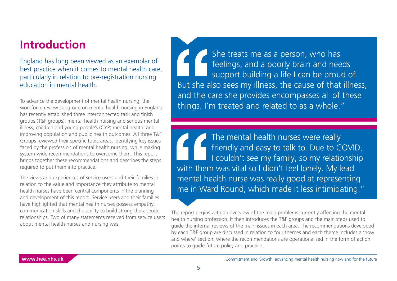# **Introduction**

England has long been viewed as an exemplar of best practice when it comes to mental health care, particularly in relation to pre-registration nursing education in mental health.

To advance the development of mental health nursing, the workforce review subgroup on mental health nursing in England has recently established three interconnected task and finish groups (T&F groups): mental health nursing and serious mental illness; children and young people's (CYP) mental health; and improving population and public health outcomes. All three T&F Groups reviewed their specific topic areas, identifying key issues faced by the profession of mental health nursing, while making system-wide recommendations to overcome them. This report brings together these recommendations and describes the steps required to put them into practice.

The views and experiences of service users and their families in relation to the value and importance they attribute to mental health nurses have been central components in the planning and development of this report. Service users and their families have highlighted that mental health nurses possess empathy, communication skills and the ability to build strong therapeutic relationships. Two of many statements received from service users about mental health nurses and nursing was:

She treats me as a person, who has feelings, and a poorly brain and needs support building a life I can be proud of. But she also sees my illness, the cause of that illness, and the care she provides encompasses all of these things. I'm treated and related to as a whole."

The mental health nurses were really friendly and easy to talk to. Due to COVID, I couldn't see my family, so my relationship with them was vital so I didn't feel lonely. My lead mental health nurse was really good at representing me in Ward Round, which made it less intimidating."

The report begins with an overview of the main problems currently affecting the mental health nursing profession. It then introduces the T&F groups and the main steps used to guide the internal reviews of the main issues in each area. The recommendations developed by each T&F group are discussed in relation to four themes and each theme includes a 'how and where' section, where the recommendations are operationalised in the form of action points to guide future policy and practice.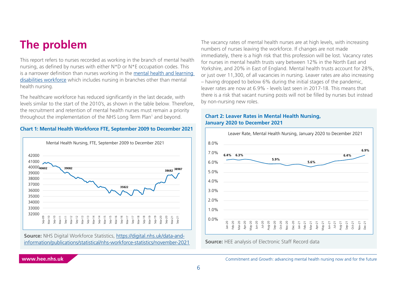# <span id="page-5-0"></span>**The problem**

This report refers to nurses recorded as working in the branch of mental health nursing, as defined by nurses with either N\*D or N\*E occupation codes. This is a narrower definition than nurses working in the [mental health and learning](https://digital.nhs.uk/data-and-information/data-tools-and-services/data-services/mental-health-data-hub/mental-health-and-learning-disabilities-workforce-in-the-nhs)  [disabilities workforce](https://digital.nhs.uk/data-and-information/data-tools-and-services/data-services/mental-health-data-hub/mental-health-and-learning-disabilities-workforce-in-the-nhs) which includes nursing in branches other than mental health nursing.

The healthcare workforce has reduced significantly in the last decade, with levels similar to the start of the 2010's, as shown in the table below. Therefore, the recruitment and retention of mental health nurses must remain a priority throughout the implementation of the NHS Long Term Pla[n1](#page-33-0) and beyond.

#### **Chart 1: Mental Health Workforce FTE, September 2009 to December 2021**



**Source:** NHS Digital Workforce Statistics, [https://digital.nhs.uk/data-and](https://digital.nhs.uk/data-and-information/publications/statistical/nhs-workforce-statistics/november-2021#)[information/publications/statistical/nhs-workforce-statistics/november-2021](https://digital.nhs.uk/data-and-information/publications/statistical/nhs-workforce-statistics/november-2021#) The vacancy rates of mental health nurses are at high levels, with increasing numbers of nurses leaving the workforce. If changes are not made immediately, there is a high risk that this profession will be lost. Vacancy rates for nurses in mental health trusts vary between 12% in the North East and Yorkshire, and 20% in East of England. Mental health trusts account for 28%, or just over 11,300, of all vacancies in nursing. Leaver rates are also increasing – having dropped to below 6% during the initial stages of the pandemic, leaver rates are now at 6.9% - levels last seen in 2017-18. This means that there is a risk that vacant nursing posts will not be filled by nurses but instead by non-nursing new roles.

#### **Chart 2: Leaver Rates in Mental Health Nursing, January 2020 to December 2021**



**Source:** HEE analysis of Electronic Staff Record data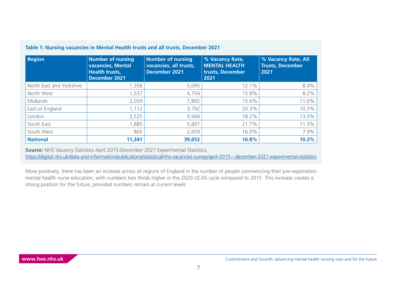| <b>Region</b>            | <b>Number of nursing</b><br><b>vacancies, Mental</b><br><b>Health trusts,</b><br><b>December 2021</b> | <b>Number of nursing</b><br>vacancies, all trusts,<br><b>December 2021</b> | % Vacancy Rate,<br><b>MENTAL HEALTH</b><br>trusts, December<br>2021 | % Vacancy Rate, All<br><b>Trusts, December</b><br>2021 |
|--------------------------|-------------------------------------------------------------------------------------------------------|----------------------------------------------------------------------------|---------------------------------------------------------------------|--------------------------------------------------------|
| North East and Yorkshire | 1,358                                                                                                 | 5,095                                                                      | 12.1%                                                               | 8.4%                                                   |
| North West               | 1,537                                                                                                 | 4,754                                                                      | 15.8%                                                               | 8.2%                                                   |
| Midlands                 | 2,059                                                                                                 | 7,892                                                                      | 15.6%                                                               | 11.0%                                                  |
| East of England          | 1,112                                                                                                 | 3,792                                                                      | 20.3%                                                               | 10.3%                                                  |
| London                   | 2,525                                                                                                 | 9,564                                                                      | 18.2%                                                               | 13.0%                                                  |
| South East               | 1,885                                                                                                 | 5,897                                                                      | 21.7%                                                               | 11.3%                                                  |
| South West               | 865                                                                                                   | 2,659                                                                      | 16.0%                                                               | 7.9%                                                   |
| <b>National</b>          | 11,341                                                                                                | 39,652                                                                     | 16.8%                                                               | 10.3%                                                  |

#### **Table 1: Nursing vacancies in Mental Health trusts and all trusts, December 2021**

**Source:** NHS Vacancy Statistics April 2015-December 2021 Experimental Statistics,

<https://digital.nhs.uk/data-and-information/publications/statistical/nhs-vacancies-survey/april-2015---december-2021-experimental-statistics>

More positively, there has been an increase across all regions of England in the number of people commencing their pre-registration mental health nurse education, with numbers two thirds higher in the 2020 UCAS cycle compared to 2015. This increase creates a strong position for the future, provided numbers remain at current levels.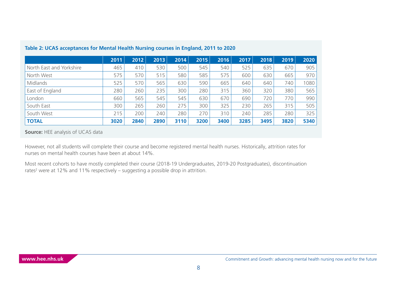|                          | 2011 | 2012 | 2013 | 2014 | 2015 | 2016 | 2017 | 2018 | 2019 | 2020 |
|--------------------------|------|------|------|------|------|------|------|------|------|------|
| North East and Yorkshire | 465  | 410  | 530  | 500  | 545  | 540  | 525  | 635  | 670  | 905  |
| North West               | 575  | 570  | 515  | 580  | 585  | 575  | 600  | 630  | 665  | 970  |
| Midlands                 | 525  | 570  | 565  | 630  | 590  | 665  | 640  | 640  | 740  | 1080 |
| East of England          | 280  | 260  | 235  | 300  | 280  | 315  | 360  | 320  | 380  | 565  |
| London                   | 660  | 565  | 545  | 545  | 630  | 670  | 690  | 720  | 770  | 990  |
| South East               | 300  | 265  | 260  | 275  | 300  | 325  | 230  | 265  | 315  | 505  |
| South West               | 215  | 200  | 240  | 280  | 270  | 310  | 240  | 285  | 280  | 325  |
| <b>TOTAL</b>             | 3020 | 2840 | 2890 | 3110 | 3200 | 3400 | 3285 | 3495 | 3820 | 5340 |

#### <span id="page-7-0"></span>**Table 2: UCAS acceptances for Mental Health Nursing courses in England, 2011 to 2020**

**Source:** HEE analysis of UCAS data

However, not all students will complete their course and become registered mental health nurses. Historically, attrition rates for nurses on mental health courses have been at about 14%.

Most recent cohorts to have mostly completed their course (2018-19 Undergraduates, 2019-20 Postgraduates), discontinuation rates<sup>2</sup> were at 12% and 11% respectively – suggesting a possible drop in attrition.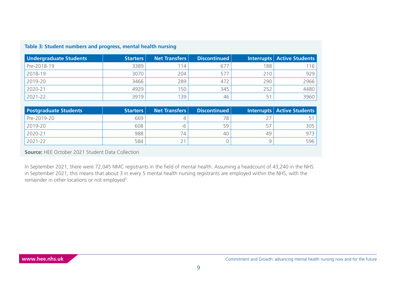| Undergraduate Students | <b>Starters</b> | <b>Net Transfers</b> | Discontinued |     | Interrupts Active Students |
|------------------------|-----------------|----------------------|--------------|-----|----------------------------|
| Pre-2018-19            | 3389            | 14،                  | 67           | 188 | 116                        |
| 2018-19                | 3070            | 204                  | 577          | 210 | 929                        |
| 2019-20                | 3466            | 289                  | 472          | 290 | 2966                       |
| 2020-21                | 4929            | 50                   | 345          | 252 | 4480                       |
| 2021-22                | 3919            | 39                   | 46           | 51  | 3960                       |

#### <span id="page-8-0"></span>**Table 3: Student numbers and progress, mental health nursing**

| <b>Postgraduate Students</b> | Starters | <b>Net Transfers</b> | Discontinued |    | Interrupts   Active Students |
|------------------------------|----------|----------------------|--------------|----|------------------------------|
| Pre-2019-20                  | 669      |                      | 78           |    |                              |
| 2019-20                      | 608      | -6                   | 59           | 57 | 305                          |
| 2020-21                      | 988      | 74                   | 40           | 49 | 973                          |
| 2021-22                      | 584      | $\sim$               |              |    | 596                          |

**Source:** HEE October 2021 Student Data Collection

In September 2021, there were 72,045 NMC registrants in the field of mental health. Assuming a headcount of 43,240 in the NHS in September 2021, this means that about 3 in every 5 mental health nursing registrants are employed within the NHS, with the remainder in other locations or not employed<sup>[3](#page-33-0)</sup>.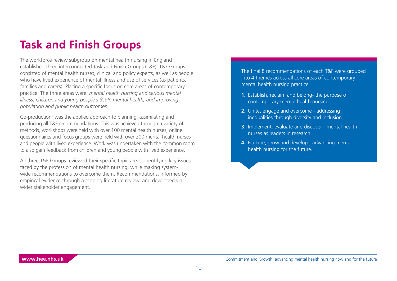# <span id="page-9-0"></span>**Task and Finish Groups**

The workforce review subgroup on mental health nursing in England established three interconnected Task and Finish Groups (T&F). T&F Groups consisted of mental health nurses, clinical and policy experts, as well as people who have lived experience of mental illness and use of services (as patients, families and carers). Placing a specific focus on core areas of contemporary practice. The three areas were: *mental health nursing and serious mental illness; children and young people's (CYP) mental health; and improving population and public health outcomes.*

Co-production<sup>4</sup> was the applied approach to planning, assimilating and producing all T&F recommendations. This was achieved through a variety of methods, workshops were held with over 100 mental health nurses, online questionnaires and focus groups were held with over 200 mental health nurses and people with lived experience. Work was undertaken with the common room to also gain feedback from children and young people with lived experience.

All three T&F Groups reviewed their specific topic areas, identifying key issues faced by the profession of mental health nursing, while making systemwide recommendations to overcome them. Recommendations, informed by empirical evidence through a scoping literature review, and developed via wider stakeholder engagement.

The final 8 recommendations of each T&F were grouped into 4 themes across all core areas of contemporary mental health nursing practice.

- **1.** Establish, reclaim and belong- the purpose of contemporary mental health nursing
- **2.** Unite, engage and overcome addressing inequalities through diversity and inclusion
- **3.** Implement, evaluate and discover mental health nurses as leaders in research
- **4.** Nurture, grow and develop advancing mental health nursing for the future.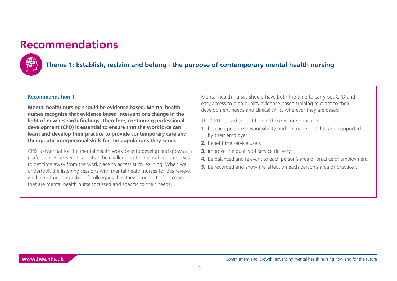# <span id="page-10-0"></span>**Recommendations**



### **Theme 1: Establish, reclaim and belong - the purpose of contemporary mental health nursing**

#### **Recommendation 1**

**Mental health nursing should be evidence based. Mental health nurses recognise that evidence based interventions change in the light of new research findings. Therefore, continuing professional development (CPD) is essential to ensure that the workforce can learn and develop their practice to provide contemporary care and therapeutic interpersonal skills for the populations they serve.**

CPD is essential for the mental health workforce to develop and grow as a profession. However, it can often be challenging for mental health nurses to get time away from the workplace to access such learning. When we undertook the listening sessions with mental health nurses for this review, we heard from a number of colleagues that they struggle to find courses that are mental health nurse focussed and specific to their needs.

Mental health nurses should have both the time to carry out CPD and easy access to high quality evidence based training relevant to their development needs and clinical skills, wherever they are based<sup>5</sup>.

The CPD utilised should follow these 5 core principles:

- **1.** be each person's responsibility and be made possible and supported by their employer
- **2** benefit the service users
- **3.** improve the quality of service delivery
- **4.** be balanced and relevant to each person's area of practice or employment
- **5.** be recorded and show the effect on each person's area of practice<sup>6</sup>.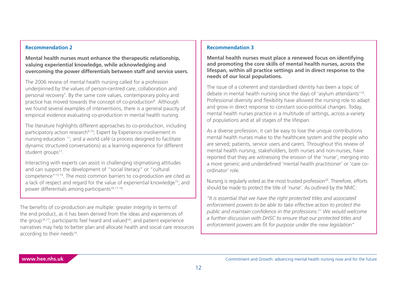#### <span id="page-11-0"></span>**Recommendation 2**

**Mental health nurses must enhance the therapeutic relationship, valuing experiential knowledge, while acknowledging and overcoming the power differentials between staff and service users.**

The 2006 review of mental health nursing called for a profession underpinned by the values of person-centred care, collaboration and personal recovery<sup>[7](#page-33-0)</sup>. By the same core values, contemporary policy and practice has moved towards the concept of co-production<sup>8</sup>. Although we found several examples of interventions, there is a general paucity of empirical evidence evaluating co-production in mental health nursing.

The literature highlights different approaches to co-production, including participatory action research<sup>9,10</sup>; Expert by Experience involvement in nursing education [11](#page-33-0); and a world café (a process designed to facilitate dynamic structured conversations) as a learning experience for different student groups<sup>12</sup>.

Interacting with experts can assist in challenging stigmatising attitudes and can support the development of "social literacy" or "cultural competence["13,14](#page-33-0). The most common barriers to co-production are cited as a lack of respect and regard for the value of experiential knowledge<sup>15</sup>; and power differentials among participants<sup>16,17,18</sup>.

The benefits of co-production are multiple: greater integrity in terms of the end product, as it has been derived from the ideas and experiences of the group<sup>16,17</sup>; participants feel heard and valued<sup>16</sup>; and patient experience narratives may help to better plan and allocate health and social care resources according to their needs<sup>16</sup>.

#### **Recommendation 3**

**Mental health nurses must place a renewed focus on identifying and promoting the core skills of mental health nurses, across the lifespan, within all practice settings and in direct response to the needs of our local populations.**

The issue of a coherent and standardised identity has been a topic of debate in mental health nursing since the days of 'asylum attendants['19.](#page-34-0) Professional diversity and flexibility have allowed the nursing role to adapt and grow in direct response to constant socio-political changes. Today, mental health nurses practice in a multitude of settings, across a variety of populations and at all stages of the lifespan.

As a diverse profession, it can be easy to lose the unique contributions mental health nurses make to the healthcare system and the people who are served; patients, service users and carers. Throughout this review of mental health nursing, stakeholders, both nurses and non-nurses, have reported that they are witnessing the erosion of the 'nurse', merging into a more generic and underdefined 'mental health practitioner' or 'care coordinator' role.

Nursing is regularly voted as the most trusted profession<sup>20</sup>. Therefore, efforts should be made to protect the title of 'nurse'. As outlined by the NMC:

*"It is essential that we have the right protected titles and associated enforcement powers to be able to take effective action to protect the public and maintain confidence in the professions.[21](#page-34-0) We would welcome a further discussion with DHSC to ensure that our protected titles and enforcement powers are fit for purpose under the new legislation"*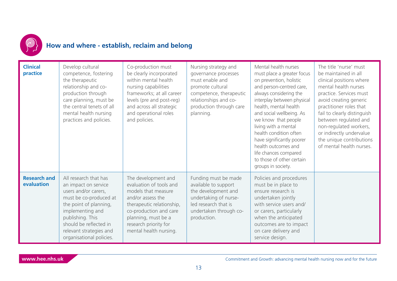

# **How and where - establish, reclaim and belong**

| <b>Clinical</b><br>practice       | Develop cultural<br>competence, fostering<br>the therapeutic<br>relationship and co-<br>production through<br>care planning, must be<br>the central tenets of all<br>mental health nursing<br>practices and policies.                              | Co-production must<br>be clearly incorporated<br>within mental health<br>nursing capabilities<br>frameworks; at all career<br>levels (pre and post-reg)<br>and across all strategic<br>and operational roles<br>and policies. | Nursing strategy and<br>governance processes<br>must enable and<br>promote cultural<br>competence, therapeutic<br>relationships and co-<br>production through care<br>planning. | Mental health nurses<br>must place a greater focus<br>on prevention, holistic<br>and person-centred care,<br>always considering the<br>interplay between physical<br>health, mental health<br>and social wellbeing. As<br>we know that people<br>living with a mental<br>health condition often<br>have significantly poorer<br>health outcomes and<br>life chances compared<br>to those of other certain<br>groups in society. | The title 'nurse' must<br>be maintained in all<br>clinical positions where<br>mental health nurses<br>practice. Services must<br>avoid creating generic<br>practitioner roles that<br>fail to clearly distinguish<br>between regulated and<br>non-regulated workers,<br>or indirectly undervalue<br>the unique contributions<br>of mental health nurses. |
|-----------------------------------|----------------------------------------------------------------------------------------------------------------------------------------------------------------------------------------------------------------------------------------------------|-------------------------------------------------------------------------------------------------------------------------------------------------------------------------------------------------------------------------------|---------------------------------------------------------------------------------------------------------------------------------------------------------------------------------|---------------------------------------------------------------------------------------------------------------------------------------------------------------------------------------------------------------------------------------------------------------------------------------------------------------------------------------------------------------------------------------------------------------------------------|----------------------------------------------------------------------------------------------------------------------------------------------------------------------------------------------------------------------------------------------------------------------------------------------------------------------------------------------------------|
| <b>Research and</b><br>evaluation | All research that has<br>an impact on service<br>users and/or carers,<br>must be co-produced at<br>the point of planning,<br>implementing and<br>publishing. This<br>should be reflected in<br>relevant strategies and<br>organisational policies. | The development and<br>evaluation of tools and<br>models that measure<br>and/or assess the<br>therapeutic relationship,<br>co-production and care<br>planning, must be a<br>research priority for<br>mental health nursing.   | Funding must be made<br>available to support<br>the development and<br>undertaking of nurse-<br>led research that is<br>undertaken through co-<br>production.                   | Policies and procedures<br>must be in place to<br>ensure research is<br>undertaken jointly<br>with service users and/<br>or carers, particularly<br>when the anticipated<br>outcomes are to impact<br>on care delivery and<br>service design.                                                                                                                                                                                   |                                                                                                                                                                                                                                                                                                                                                          |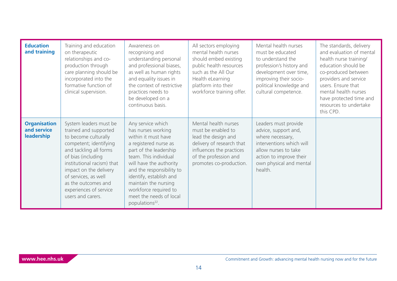<span id="page-13-0"></span>

| <b>Education</b><br>and training                        | Training and education<br>on therapeutic<br>relationships and co-<br>production through<br>care planning should be<br>incorporated into the<br>formative function of<br>clinical supervision.                                                                                                           | Awareness on<br>recognising and<br>understanding personal<br>and professional biases,<br>as well as human rights<br>and equality issues in<br>the context of restrictive<br>practices needs to<br>be developed on a<br>continuous basis.                                                                                                 | All sectors employing<br>mental health nurses<br>should embed existing<br>public health resources<br>such as the All Our<br>Health eLearning<br>platform into their<br>workforce training offer. | Mental health nurses<br>must be educated<br>to understand the<br>profession's history and<br>development over time,<br>improving their socio-<br>political knowledge and<br>cultural competence. | The standards, delivery<br>and evaluation of mental<br>health nurse training/<br>education should be<br>co-produced between<br>providers and service<br>users. Ensure that<br>mental health nurses<br>have protected time and<br>resources to undertake<br>this CPD. |
|---------------------------------------------------------|---------------------------------------------------------------------------------------------------------------------------------------------------------------------------------------------------------------------------------------------------------------------------------------------------------|------------------------------------------------------------------------------------------------------------------------------------------------------------------------------------------------------------------------------------------------------------------------------------------------------------------------------------------|--------------------------------------------------------------------------------------------------------------------------------------------------------------------------------------------------|--------------------------------------------------------------------------------------------------------------------------------------------------------------------------------------------------|----------------------------------------------------------------------------------------------------------------------------------------------------------------------------------------------------------------------------------------------------------------------|
| <b>Organisation</b><br>and service<br><b>leadership</b> | System leaders must be<br>trained and supported<br>to become culturally<br>competent; identifying<br>and tackling all forms<br>of bias (including<br>institutional racism) that<br>impact on the delivery<br>of services, as well<br>as the outcomes and<br>experiences of service<br>users and carers. | Any service which<br>has nurses working<br>within it must have<br>a registered nurse as<br>part of the leadership<br>team. This individual<br>will have the authority<br>and the responsibility to<br>identify, establish and<br>maintain the nursing<br>workforce required to<br>meet the needs of local<br>populations <sup>22</sup> . | Mental health nurses<br>must be enabled to<br>lead the design and<br>delivery of research that<br>influences the practices<br>of the profession and<br>promotes co-production.                   | Leaders must provide<br>advice, support and,<br>where necessary,<br>interventions which will<br>allow nurses to take<br>action to improve their<br>own physical and mental<br>health.            |                                                                                                                                                                                                                                                                      |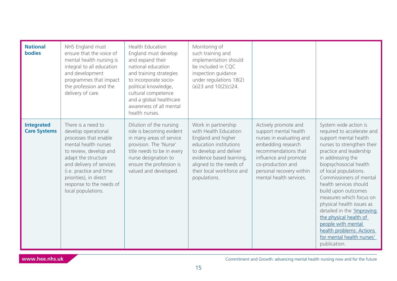| <b>National</b><br><b>bodies</b>         | NHS England must<br>ensure that the voice of<br>mental health nursing is<br>integral to all education<br>and development<br>programmes that impact<br>the profession and the<br>delivery of care.                                                                              | <b>Health Education</b><br>England must develop<br>and expand their<br>national education<br>and training strategies<br>to incorporate socio-<br>political knowledge,<br>cultural competence<br>and a global healthcare<br>awareness of all mental<br>health nurses. | Monitoring of<br>such training and<br>implementation should<br>be included in CQC<br>inspection guidance<br>under regulations 18(2)<br>(a)23 and $10(2)(c)24$ .                                                            |                                                                                                                                                                                                                              |                                                                                                                                                                                                                                                                                                                                                                                                                                                                                                                 |
|------------------------------------------|--------------------------------------------------------------------------------------------------------------------------------------------------------------------------------------------------------------------------------------------------------------------------------|----------------------------------------------------------------------------------------------------------------------------------------------------------------------------------------------------------------------------------------------------------------------|----------------------------------------------------------------------------------------------------------------------------------------------------------------------------------------------------------------------------|------------------------------------------------------------------------------------------------------------------------------------------------------------------------------------------------------------------------------|-----------------------------------------------------------------------------------------------------------------------------------------------------------------------------------------------------------------------------------------------------------------------------------------------------------------------------------------------------------------------------------------------------------------------------------------------------------------------------------------------------------------|
| <b>Integrated</b><br><b>Care Systems</b> | There is a need to<br>develop operational<br>processes that enable<br>mental health nurses<br>to review, develop and<br>adapt the structure<br>and delivery of services<br>(i.e. practice and time<br>priorities), in direct<br>response to the needs of<br>local populations. | Dilution of the nursing<br>role is becoming evident<br>in many areas of service<br>provision. The 'Nurse'<br>title needs to be in every<br>nurse designation to<br>ensure the profession is<br>valued and developed.                                                 | Work in partnership<br>with Health Education<br>England and higher<br>education institutions<br>to develop and deliver<br>evidence based learning,<br>aligned to the needs of<br>their local workforce and<br>populations. | Actively promote and<br>support mental health<br>nurses in evaluating and<br>embedding research<br>recommendations that<br>influence and promote<br>co-production and<br>personal recovery within<br>mental health services. | System wide action is<br>required to accelerate and<br>support mental health<br>nurses to strengthen their<br>practice and leadership<br>in addressing the<br>biopsychosocial health<br>of local populations.<br>Commissioners of mental<br>health services should<br>build upon outcomes<br>measures which focus on<br>physical health issues as<br>detailed in the <i>'Improving</i><br>the physical health of<br>people with mental<br>health problems: Actions<br>for mental health nurses'<br>publication. |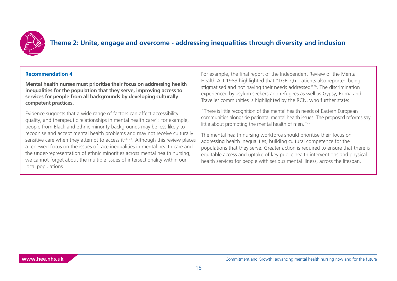<span id="page-15-0"></span>

### **Theme 2: Unite, engage and overcome - addressing inequalities through diversity and inclusion**

#### **Recommendation 4**

**Mental health nurses must prioritise their focus on addressing health inequalities for the population that they serve, improving access to services for people from all backgrounds by developing culturally competent practices.**

Evidence suggests that a wide range of factors can affect accessibility, quality, and therapeutic relationships in mental health car[e23:](#page-34-0) for example, people from Black and ethnic minority backgrounds may be less likely to recognise and accept mental health problems and may not receive culturally sensitive care when they attempt to access it $24$ ,  $25$ . Although this review places a renewed focus on the issues of race inequalities in mental health care and the under-representation of ethnic minorities across mental health nursing, we cannot forget about the multiple issues of intersectionality within our local populations.

For example, the final report of the Independent Review of the Mental Health Act 1983 highlighted that "LGBTQ+ patients also reported being stigmatised and not having their needs addressed"[26.](#page-34-0) The discrimination experienced by asylum seekers and refugees as well as Gypsy, Roma and Traveller communities is highlighted by the RCN, who further state:

"There is little recognition of the mental health needs of Eastern European communities alongside perinatal mental health issues. The proposed reforms say little about promoting the mental health of men."<sup>27</sup>

The mental health nursing workforce should prioritise their focus on addressing health inequalities, building cultural competence for the populations that they serve. Greater action is required to ensure that there is equitable access and uptake of key public health interventions and physical health services for people with serious mental illness, across the lifespan.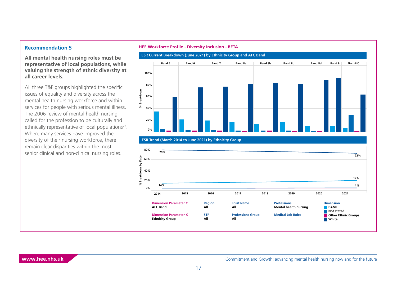#### <span id="page-16-0"></span>**Recommendation 5**

**All mental health nursing roles must be representative of local populations, while valuing the strength of ethnic diversity at all career levels.**

All three T&F groups highlighted the specific issues of equality and diversity across the mental health nursing workforce and within services for people with serious mental illness. The 2006 review of mental health nursing called for the profession to be culturally and ethnically representative of local populations<sup>28</sup>. Where many services have improved the diversity of their nursing workforce, there remain clear disparities within the most senior clinical and non-clinical nursing roles.

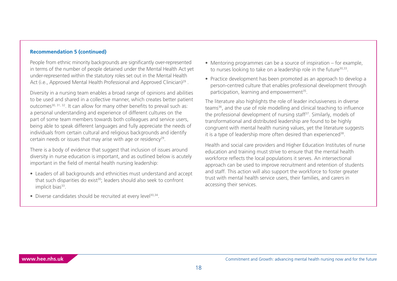#### <span id="page-17-0"></span>**Recommendation 5 (continued)**

People from ethnic minority backgrounds are significantly over-represented in terms of the number of people detained under the Mental Health Act yet under-represented within the statutory roles set out in the Mental Health Act (i.e., Approved Mental Health Professional and Approved Clinician)<sup>29</sup>.

Diversity in a nursing team enables a broad range of opinions and abilities to be used and shared in a collective manner, which creates better patient outcomes<sup>[30, 31, 32](#page-34-0)</sup>. It can allow for many other benefits to prevail such as: a personal understanding and experience of different cultures on the part of some team members towards both colleagues and service users, being able to speak different languages and fully appreciate the needs of individuals from certain cultural and religious backgrounds and identify certain needs or issues that may arise with age or residency<sup>29</sup>.

There is a body of evidence that suggest that inclusion of issues around diversity in nurse education is important, and as outlined below is acutely important in the field of mental health nursing leadership:

- Leaders of all backgrounds and ethnicities must understand and accept that such disparities do exist<sup>30</sup>; leaders should also seek to confront implicit bias $333$ .
- Diverse candidates should be recruited at every level<sup>30,34</sup>.
- Mentoring programmes can be a source of inspiration for example, to nurses looking to take on a leadership role in the future<sup>30,33</sup>.
- Practice development has been promoted as an approach to develop a person-centred culture that enables professional development through participation, learning and empowerment<sup>35</sup>.

The literature also highlights the role of leader inclusiveness in diverse teams<sup>36</sup>, and the use of role modelling and clinical teaching to influence the professional development of nursing staff<sup>37</sup>. Similarly, models of transformational and distributed leadership are found to be highly congruent with mental health nursing values, yet the literature suggests it is a type of leadership more often desired than experienced<sup>[38](#page-35-0)</sup>.

Health and social care providers and Higher Education Institutes of nurse education and training must strive to ensure that the mental health workforce reflects the local populations it serves. An intersectional approach can be used to improve recruitment and retention of students and staff. This action will also support the workforce to foster greater trust with mental health service users, their families, and carers in accessing their services.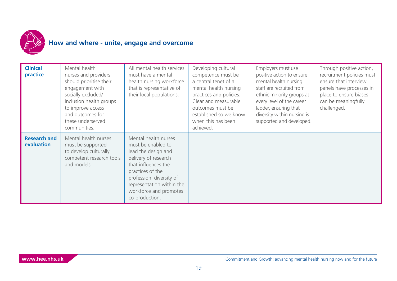

# **How and where - unite, engage and overcome**

| <b>Clinical</b><br>practice       | Mental health<br>nurses and providers<br>should prioritise their<br>engagement with<br>socially excluded/<br>inclusion health groups<br>to improve access<br>and outcomes for<br>these underserved<br>communities. | All mental health services<br>must have a mental<br>health nursing workforce<br>that is representative of<br>their local populations.                                                                                                     | Developing cultural<br>competence must be<br>a central tenet of all<br>mental health nursing<br>practices and policies.<br>Clear and measurable<br>outcomes must be<br>established so we know<br>when this has been<br>achieved. | Employers must use<br>positive action to ensure<br>mental health nursing<br>staff are recruited from<br>ethnic minority groups at<br>every level of the career<br>ladder, ensuring that<br>diversity within nursing is<br>supported and developed. | Through positive action,<br>recruitment policies must<br>ensure that interview<br>panels have processes in<br>place to ensure biases<br>can be meaningfully<br>challenged. |
|-----------------------------------|--------------------------------------------------------------------------------------------------------------------------------------------------------------------------------------------------------------------|-------------------------------------------------------------------------------------------------------------------------------------------------------------------------------------------------------------------------------------------|----------------------------------------------------------------------------------------------------------------------------------------------------------------------------------------------------------------------------------|----------------------------------------------------------------------------------------------------------------------------------------------------------------------------------------------------------------------------------------------------|----------------------------------------------------------------------------------------------------------------------------------------------------------------------------|
| <b>Research and</b><br>evaluation | Mental health nurses<br>must be supported<br>to develop culturally<br>competent research tools<br>and models.                                                                                                      | Mental health nurses<br>must be enabled to<br>lead the design and<br>delivery of research<br>that influences the<br>practices of the<br>profession, diversity of<br>representation within the<br>workforce and promotes<br>co-production. |                                                                                                                                                                                                                                  |                                                                                                                                                                                                                                                    |                                                                                                                                                                            |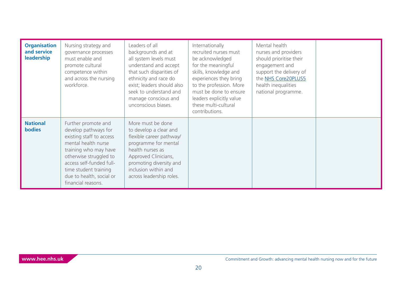| <b>Organisation</b><br>and service<br>leadership | Nursing strategy and<br>governance processes<br>must enable and<br>promote cultural<br>competence within<br>and across the nursing<br>workforce.                                                                                                         | Leaders of all<br>backgrounds and at<br>all system levels must<br>understand and accept<br>that such disparities of<br>ethnicity and race do<br>exist; leaders should also<br>seek to understand and<br>manage conscious and<br>unconscious biases. | Internationally<br>recruited nurses must<br>be acknowledged<br>for the meaningful<br>skills, knowledge and<br>experiences they bring<br>to the profession. More<br>must be done to ensure<br>leaders explicitly value<br>these multi-cultural<br>contributions. | Mental health<br>nurses and providers<br>should prioritise their<br>engagement and<br>support the delivery of<br>the NHS Core20PLUS5<br>health inequalities<br>national programme. |  |
|--------------------------------------------------|----------------------------------------------------------------------------------------------------------------------------------------------------------------------------------------------------------------------------------------------------------|-----------------------------------------------------------------------------------------------------------------------------------------------------------------------------------------------------------------------------------------------------|-----------------------------------------------------------------------------------------------------------------------------------------------------------------------------------------------------------------------------------------------------------------|------------------------------------------------------------------------------------------------------------------------------------------------------------------------------------|--|
| <b>National</b><br><b>bodies</b>                 | Further promote and<br>develop pathways for<br>existing staff to access<br>mental health nurse<br>training who may have<br>otherwise struggled to<br>access self-funded full-<br>time student training<br>due to health, social or<br>financial reasons. | More must be done<br>to develop a clear and<br>flexible career pathway/<br>programme for mental<br>health nurses as<br>Approved Clinicians,<br>promoting diversity and<br>inclusion within and<br>across leadership roles.                          |                                                                                                                                                                                                                                                                 |                                                                                                                                                                                    |  |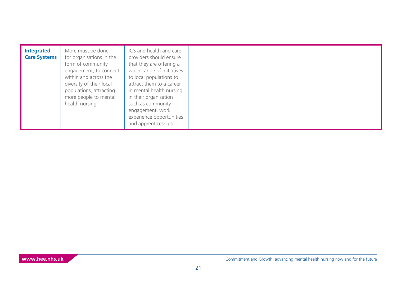| <b>Integrated</b><br><b>Care Systems</b> | More must be done<br>for organisations in the<br>form of community<br>engagement, to connect<br>within and across the<br>diversity of their local<br>populations, attracting<br>more people to mental<br>health nursing. | ICS and health and care<br>providers should ensure<br>that they are offering a<br>wider range of initiatives<br>to local populations to<br>attract them to a career<br>in mental health nursing<br>in their organisation<br>such as community<br>engagement, work<br>experience opportunities<br>and apprenticeships. |  |  |  |
|------------------------------------------|--------------------------------------------------------------------------------------------------------------------------------------------------------------------------------------------------------------------------|-----------------------------------------------------------------------------------------------------------------------------------------------------------------------------------------------------------------------------------------------------------------------------------------------------------------------|--|--|--|
|------------------------------------------|--------------------------------------------------------------------------------------------------------------------------------------------------------------------------------------------------------------------------|-----------------------------------------------------------------------------------------------------------------------------------------------------------------------------------------------------------------------------------------------------------------------------------------------------------------------|--|--|--|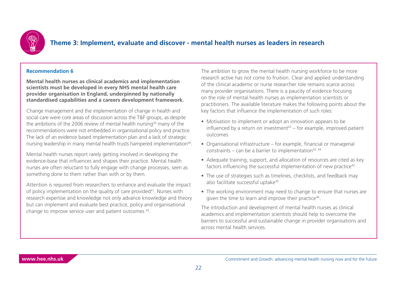<span id="page-21-0"></span>

### **Theme 3: Implement, evaluate and discover - mental health nurses as leaders in research**

#### **Recommendation 6**

**Mental health nurses as clinical academics and implementation scientists must be developed in every NHS mental health care provider organisation in England, underpinned by nationally standardised capabilities and a careers development framework.**

Change management and the implementation of change in health and social care were core areas of discussion across the T&F groups, as despite the ambitions of the 2006 review of mental health nursing<sup>39</sup> many of the recommendations were not embedded in organisational policy and practice. The lack of an evidence based implementation plan and a lack of strategic nursing leadership in many mental health trusts hampered implementation<sup>40</sup>.

Mental health nurses report rarely getting involved in developing the evidence-base that influences and shapes their practice. Mental health nurses are often reluctant to fully engage with change processes, seen as something done to them rather than with or by them.

Attention is required from researchers to enhance and evaluate the impact of policy implementation on the quality of care provided<sup>41</sup>. Nurses with research expertise and knowledge not only advance knowledge and theory but can implement and evaluate best practice, policy and organisational change to improve service user and patient outcomes [42.](#page-35-0)

The ambition to grow the mental health nursing workforce to be more research active has not come to fruition. Clear and applied understanding of the clinical academic or nurse researcher role remains scarce across many provider organisations. There is a paucity of evidence focusing on the role of mental health nurses as implementation scientists or practitioners. The available literature makes the following points about the key factors that influence the implementation of such roles:

- Motivation to implement or adopt an innovation appears to be influenced by a return on investment<sup>[43](#page-35-0)</sup> – for example, improved patient outcomes
- Organisational infrastructure for example, financial or managerial constraints – can be a barrier to implementation<sup>42, 44</sup>
- Adequate training, support, and allocation of resources are cited as key factors influencing the successful implementation of new practice<sup>42</sup>
- The use of strategies such as timelines, checklists, and feedback may also facilitate successful uptake<sup>[45](#page-35-0)</sup>
- The working environment may need to change to ensure that nurses are given the time to learn and improve their practice<sup>46</sup>.

The introduction and development of mental health nurses as clinical academics and implementation scientists should help to overcome the barriers to successful and sustainable change in provider organisations and across mental health services.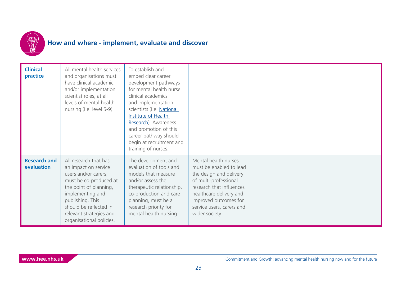

## **How and where - implement, evaluate and discover**

| <b>Clinical</b><br>practice       | All mental health services<br>and organisations must<br>have clinical academic<br>and/or implementation<br>scientist roles, at all<br>levels of mental health<br>nursing (i.e. level 5-9).                                                         | To establish and<br>embed clear career<br>development pathways<br>for mental health nurse<br>clinical academics<br>and implementation<br>scientists (i.e. National<br>Institute of Health<br>Research). Awareness<br>and promotion of this<br>career pathway should<br>begin at recruitment and<br>training of nurses. |                                                                                                                                                                                                                                    |  |
|-----------------------------------|----------------------------------------------------------------------------------------------------------------------------------------------------------------------------------------------------------------------------------------------------|------------------------------------------------------------------------------------------------------------------------------------------------------------------------------------------------------------------------------------------------------------------------------------------------------------------------|------------------------------------------------------------------------------------------------------------------------------------------------------------------------------------------------------------------------------------|--|
| <b>Research and</b><br>evaluation | All research that has<br>an impact on service<br>users and/or carers,<br>must be co-produced at<br>the point of planning,<br>implementing and<br>publishing. This<br>should be reflected in<br>relevant strategies and<br>organisational policies. | The development and<br>evaluation of tools and<br>models that measure<br>and/or assess the<br>therapeutic relationship,<br>co-production and care<br>planning, must be a<br>research priority for<br>mental health nursing.                                                                                            | Mental health nurses<br>must be enabled to lead<br>the design and delivery<br>of multi-professional<br>research that influences<br>healthcare delivery and<br>improved outcomes for<br>service users, carers and<br>wider society. |  |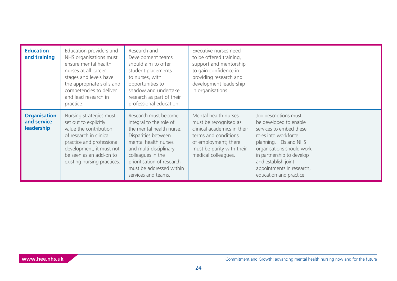| <b>Education</b><br>and training                 | Education providers and<br>NHS organisations must<br>ensure mental health<br>nurses at all career<br>stages and levels have<br>the appropriate skills and<br>competencies to deliver<br>and lead research in<br>practice. | Research and<br>Development teams<br>should aim to offer<br>student placements<br>to nurses, with<br>opportunities to<br>shadow and undertake<br>research as part of their<br>professional education.                                                      | Executive nurses need<br>to be offered training,<br>support and mentorship<br>to gain confidence in<br>providing research and<br>development leadership<br>in organisations.     |                                                                                                                                                                                                                                                                       |  |
|--------------------------------------------------|---------------------------------------------------------------------------------------------------------------------------------------------------------------------------------------------------------------------------|------------------------------------------------------------------------------------------------------------------------------------------------------------------------------------------------------------------------------------------------------------|----------------------------------------------------------------------------------------------------------------------------------------------------------------------------------|-----------------------------------------------------------------------------------------------------------------------------------------------------------------------------------------------------------------------------------------------------------------------|--|
| <b>Organisation</b><br>and service<br>leadership | Nursing strategies must<br>set out to explicitly<br>value the contribution<br>of research in clinical<br>practice and professional<br>development; it must not<br>be seen as an add-on to<br>existing nursing practices.  | Research must become<br>integral to the role of<br>the mental health nurse.<br>Disparities between<br>mental health nurses<br>and multi-disciplinary<br>colleagues in the<br>prioritisation of research<br>must be addressed within<br>services and teams. | Mental health nurses<br>must be recognised as<br>clinical academics in their<br>terms and conditions<br>of employment; there<br>must be parity with their<br>medical colleagues. | Job descriptions must<br>be developed to enable<br>services to embed these<br>roles into workforce<br>planning. HEIs and NHS<br>organisations should work<br>in partnership to develop<br>and establish joint<br>appointments in research,<br>education and practice. |  |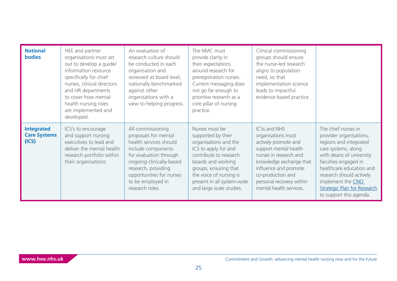| <b>National</b><br><b>bodies</b>                  | HEE and partner<br>organisations must set<br>out to develop a guide/<br>information resource<br>specifically for chief<br>nurses, clinical directors<br>and HR departments<br>to cover how mental<br>health nursing roles<br>are implemented and<br>developed. | An evaluation of<br>research culture should<br>be conducted in each<br>organisation and<br>reviewed at board level,<br>nationally benchmarked<br>against other<br>organisations with a<br>view to helping progress.                        | The NMC must<br>provide clarity in<br>their expectations<br>around research for<br>preregistration nurses.<br>Current messaging does<br>not go far enough to<br>prioritise research as a<br>core pillar of nursing<br>practice.                     | Clinical commissioning<br>groups should ensure<br>the nurse-led research<br>aligns to population<br>need, so that<br>implementation science<br>leads to impactful<br>evidence based practice.                                                        |                                                                                                                                                                                                                                                                                                   |
|---------------------------------------------------|----------------------------------------------------------------------------------------------------------------------------------------------------------------------------------------------------------------------------------------------------------------|--------------------------------------------------------------------------------------------------------------------------------------------------------------------------------------------------------------------------------------------|-----------------------------------------------------------------------------------------------------------------------------------------------------------------------------------------------------------------------------------------------------|------------------------------------------------------------------------------------------------------------------------------------------------------------------------------------------------------------------------------------------------------|---------------------------------------------------------------------------------------------------------------------------------------------------------------------------------------------------------------------------------------------------------------------------------------------------|
| <b>Integrated</b><br><b>Care Systems</b><br>(ICS) | ICS's to encourage<br>and support nursing<br>executives to lead and<br>deliver the mental health<br>research portfolio within<br>their organisations.                                                                                                          | All commissioning<br>proposals for mental<br>health services should<br>include components<br>for evaluation through<br>ongoing clinically-based<br>research, providing<br>opportunities for nurses<br>to be employed in<br>research roles. | Nurses must be<br>supported by their<br>organisations and the<br>ICS to apply for and<br>contribute to research<br>boards and working<br>groups, ensuring that<br>the voice of nursing is<br>present in all system-wide<br>and large scale studies. | <b>ICSs and NHS</b><br>organisations must<br>actively promote and<br>support mental health<br>nurses in research and<br>knowledge exchange that<br>influence and promote<br>co-production and<br>personal recovery within<br>mental health services. | The chief nurses in<br>provider organisations,<br>regions and integrated<br>care systems, along<br>with deans of university<br>faculties engaged in<br>healthcare education and<br>research should actively<br>implement the CNO<br><b>Strategic Plan for Research</b><br>to support this agenda. |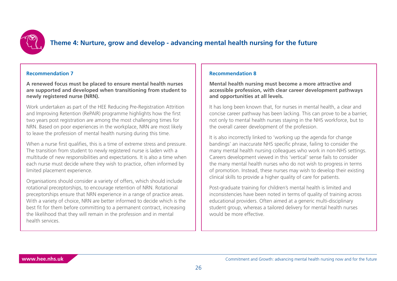

### **Theme 4: Nurture, grow and develop - advancing mental health nursing for the future**

#### **Recommendation 7**

**A renewed focus must be placed to ensure mental health nurses are supported and developed when transitioning from student to newly registered nurse (NRN).**

Work undertaken as part of the HEE Reducing Pre-Registration Attrition and Improving Retention (RePAIR) programme highlights how the first two years post registration are among the most challenging times for NRN. Based on poor experiences in the workplace, NRN are most likely to leave the profession of mental health nursing during this time.

When a nurse first qualifies, this is a time of extreme stress and pressure. The transition from student to newly registered nurse is laden with a multitude of new responsibilities and expectations. It is also a time when each nurse must decide where they wish to practice, often informed by limited placement experience.

Organisations should consider a variety of offers, which should include rotational preceptorships, to encourage retention of NRN. Rotational preceptorships ensure that NRN experience in a range of practice areas. With a variety of choice, NRN are better informed to decide which is the best fit for them before committing to a permanent contract, increasing the likelihood that they will remain in the profession and in mental health services.

#### **Recommendation 8**

**Mental health nursing must become a more attractive and accessible profession, with clear career development pathways and opportunities at all levels.** 

It has long been known that, for nurses in mental health, a clear and concise career pathway has been lacking. This can prove to be a barrier, not only to mental health nurses staying in the NHS workforce, but to the overall career development of the profession.

It is also incorrectly linked to 'working up the agenda for change bandings' an inaccurate NHS specific phrase, failing to consider the many mental health nursing colleagues who work in non-NHS settings. Careers development viewed in this 'vertical' sense fails to consider the many mental health nurses who do not wish to progress in terms of promotion. Instead, these nurses may wish to develop their existing clinical skills to provide a higher quality of care for patients.

Post-graduate training for children's mental health is limited and inconsistencies have been noted in terms of quality of training across educational providers. Often aimed at a generic multi-disciplinary student group, whereas a tailored delivery for mental health nurses would be more effective.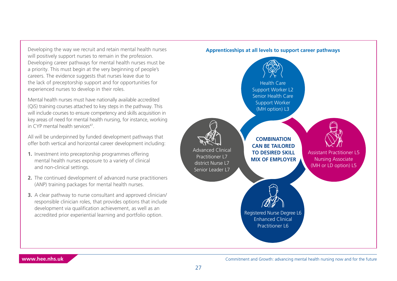<span id="page-26-0"></span>Developing the way we recruit and retain mental health nurses will positively support nurses to remain in the profession. Developing career pathways for mental health nurses must be a priority. This must begin at the very beginning of people's careers. The evidence suggests that nurses leave due to the lack of preceptorship support and for opportunities for experienced nurses to develop in their roles.

Mental health nurses must have nationally available accredited (QiS) training courses attached to key steps in the pathway. This will include courses to ensure competency and skills acquisition in key areas of need for mental health nursing, for instance, working in CYP mental health services<sup>47</sup>.

All will be underpinned by funded development pathways that offer both vertical and horizontal career development including:

- **1.** Investment into preceptorship programmes offering mental health nurses exposure to a variety of clinical and non-clinical settings.
- **2.** The continued development of advanced nurse practitioners (ANP) training packages for mental health nurses.
- **3.** A clear pathway to nurse consultant and approved clinician/ responsible clinician roles, that provides options that include development via qualification achievement, as well as an accredited prior experiential learning and portfolio option.

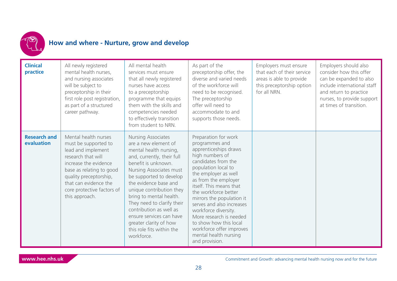

### **How and where - Nurture, grow and develop**

| <b>Clinical</b><br>practice       | All newly registered<br>mental health nurses,<br>and nursing associates<br>will be subject to<br>preceptorship in their<br>first role post registration,<br>as part of a structured<br>career pathway.                                           | All mental health<br>services must ensure<br>that all newly registered<br>nurses have access<br>to a preceptorship<br>programme that equips<br>them with the skills and<br>competencies needed<br>to effectively transition<br>from student to NRN.                                                                                                                                                                       | As part of the<br>preceptorship offer, the<br>diverse and varied needs<br>of the workforce will<br>need to be recognised.<br>The preceptorship<br>offer will need to<br>accommodate to and<br>supports those needs.                                                                                                                                                                                                                               | Employers must ensure<br>that each of their service<br>areas is able to provide<br>this preceptorship option<br>for all NRN. | Employers should also<br>consider how this offer<br>can be expanded to also<br>include international staff<br>and return to practice<br>nurses, to provide support<br>at times of transition. |
|-----------------------------------|--------------------------------------------------------------------------------------------------------------------------------------------------------------------------------------------------------------------------------------------------|---------------------------------------------------------------------------------------------------------------------------------------------------------------------------------------------------------------------------------------------------------------------------------------------------------------------------------------------------------------------------------------------------------------------------|---------------------------------------------------------------------------------------------------------------------------------------------------------------------------------------------------------------------------------------------------------------------------------------------------------------------------------------------------------------------------------------------------------------------------------------------------|------------------------------------------------------------------------------------------------------------------------------|-----------------------------------------------------------------------------------------------------------------------------------------------------------------------------------------------|
| <b>Research and</b><br>evaluation | Mental health nurses<br>must be supported to<br>lead and implement<br>research that will<br>increase the evidence<br>base as relating to good<br>quality preceptorship,<br>that can evidence the<br>core protective factors of<br>this approach. | Nursing Associates<br>are a new element of<br>mental health nursing,<br>and, currently, their full<br>benefit is unknown.<br>Nursing Associates must<br>be supported to develop<br>the evidence base and<br>unique contribution they<br>bring to mental health.<br>They need to clarify their<br>contribution as well as<br>ensure services can have<br>greater clarity of how<br>this role fits within the<br>workforce. | Preparation for work<br>programmes and<br>apprenticeships draws<br>high numbers of<br>candidates from the<br>population local to<br>the employer as well<br>as from the employer<br>itself. This means that<br>the workforce better<br>mirrors the population it<br>serves and also increases<br>workforce diversity.<br>More research is needed<br>to show how this local<br>workforce offer improves<br>mental health nursing<br>and provision. |                                                                                                                              |                                                                                                                                                                                               |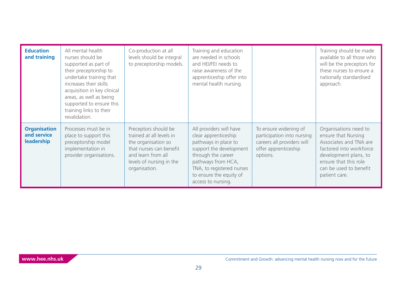| <b>Education</b><br>and training                 | All mental health<br>nurses should be<br>supported as part of<br>their preceptorship to<br>undertake training that<br>increases their skills<br>acquisition in key clinical<br>areas, as well as being<br>supported to ensure this<br>training links to their<br>revalidation. | Co-production at all<br>levels should be integral<br>to preceptorship models.                                                                                         | Training and education<br>are needed in schools<br>and HEI/FEI needs to<br>raise awareness of the<br>apprenticeship offer into<br>mental health nursing.                                                                     |                                                                                                                       | Training should be made<br>available to all those who<br>will be the preceptors for<br>these nurses to ensure a<br>nationally standardised<br>approach.                                        |
|--------------------------------------------------|--------------------------------------------------------------------------------------------------------------------------------------------------------------------------------------------------------------------------------------------------------------------------------|-----------------------------------------------------------------------------------------------------------------------------------------------------------------------|------------------------------------------------------------------------------------------------------------------------------------------------------------------------------------------------------------------------------|-----------------------------------------------------------------------------------------------------------------------|------------------------------------------------------------------------------------------------------------------------------------------------------------------------------------------------|
| <b>Organisation</b><br>and service<br>leadership | Processes must be in<br>place to support this<br>preceptorship model<br>implementation in<br>provider organisations.                                                                                                                                                           | Preceptors should be<br>trained at all levels in<br>the organisation so<br>that nurses can benefit<br>and learn from all<br>levels of nursing in the<br>organisation. | All providers will have<br>clear apprenticeship<br>pathways in place to<br>support the development<br>through the career<br>pathways from HCA,<br>TNA, to registered nurses<br>to ensure the equity of<br>access to nursing. | To ensure widening of<br>participation into nursing<br>careers all providers will<br>offer apprenticeship<br>options. | Organisations need to<br>ensure that Nursing<br>Associates and TNA are<br>factored into workforce<br>development plans, to<br>ensure that this role<br>can be used to benefit<br>patient care. |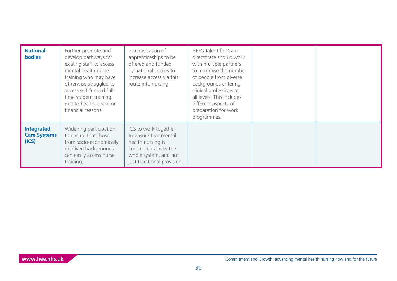| <b>National</b><br><b>bodies</b>                  | Further promote and<br>develop pathways for<br>existing staff to access<br>mental health nurse<br>training who may have<br>otherwise struggled to<br>access self-funded full-<br>time student training<br>due to health, social or<br>financial reasons. | Incentivisation of<br>apprenticeships to be<br>offered and funded<br>by national bodies to<br>increase access via this<br>route into nursing.       | HEE's Talent for Care<br>directorate should work<br>with multiple partners<br>to maximise the number<br>of people from diverse<br>backgrounds entering<br>clinical professions at<br>all levels. This includes<br>different aspects of<br>preparation for work<br>programmes. |  |
|---------------------------------------------------|----------------------------------------------------------------------------------------------------------------------------------------------------------------------------------------------------------------------------------------------------------|-----------------------------------------------------------------------------------------------------------------------------------------------------|-------------------------------------------------------------------------------------------------------------------------------------------------------------------------------------------------------------------------------------------------------------------------------|--|
| <b>Integrated</b><br><b>Care Systems</b><br>(ICS) | Widening participation<br>to ensure that those<br>from socio-economically<br>deprived backgrounds<br>can easily access nurse<br>training.                                                                                                                | ICS to work together<br>to ensure that mental<br>health nursing is<br>considered across the<br>whole system, and not<br>just traditional provision. |                                                                                                                                                                                                                                                                               |  |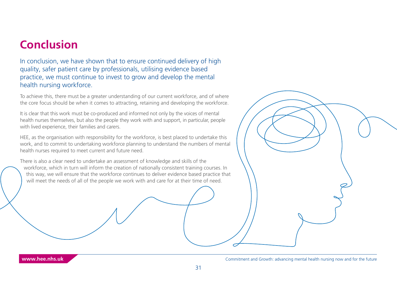# **Conclusion**

In conclusion, we have shown that to ensure continued delivery of high quality, safer patient care by professionals, utilising evidence based practice, we must continue to invest to grow and develop the mental health nursing workforce.

To achieve this, there must be a greater understanding of our current workforce, and of where the core focus should be when it comes to attracting, retaining and developing the workforce.

It is clear that this work must be co-produced and informed not only by the voices of mental health nurses themselves, but also the people they work with and support, in particular, people with lived experience, their families and carers.

HEE, as the organisation with responsibility for the workforce, is best placed to undertake this work, and to commit to undertaking workforce planning to understand the numbers of mental health nurses required to meet current and future need.

There is also a clear need to undertake an assessment of knowledge and skills of the workforce, which in turn will inform the creation of nationally consistent training courses. In this way, we will ensure that the workforce continues to deliver evidence based practice that will meet the needs of all of the people we work with and care for at their time of need.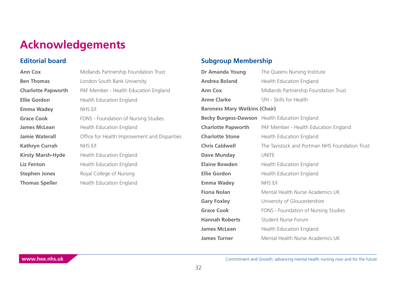# **Acknowledgements**

### **Editorial board**

| <b>Ann Cox</b>            | Midlands Partnership Foundation Trust         |
|---------------------------|-----------------------------------------------|
| <b>Ben Thomas</b>         | London South Bank University                  |
| <b>Charlotte Papworth</b> | PAF Member - Health Education England         |
| <b>Ellie Gordon</b>       | Health Education England                      |
| <b>Emma Wadey</b>         | NHS E/I                                       |
| <b>Grace Cook</b>         | FONS - Foundation of Nursing Studies          |
| <b>James McLean</b>       | Health Education England                      |
| <b>Jamie Waterall</b>     | Office for Health Improvement and Disparities |
| <b>Kathryn Currah</b>     | NHS E/I                                       |
| <b>Kirsty Marsh-Hyde</b>  | Health Education England                      |
| <b>Liz Fenton</b>         | Health Education England                      |
| <b>Stephen Jones</b>      | Royal College of Nursing                      |
| <b>Thomas Speller</b>     | Health Education England                      |
|                           |                                               |

### **Subgroup Membership**

| Dr Amanda Young                      | The Queens Nursing Institute                   |
|--------------------------------------|------------------------------------------------|
| <b>Andrea Boland</b>                 | Health Education England                       |
| <b>Ann Cox</b>                       | Midlands Partnership Foundation Trust          |
| <b>Anne Clarke</b>                   | SfH - Skills for Health                        |
| <b>Baroness Mary Watkins (Chair)</b> |                                                |
|                                      | Becky Burgess-Dawson Health Education England  |
| <b>Charlotte Papworth</b>            | PAF Member - Health Education England          |
| <b>Charlotte Stone</b>               | Health Education England                       |
| <b>Chris Caldwell</b>                | The Tavistock and Portman NHS Foundation Trust |
| <b>Dave Munday</b>                   | <b>UNITE</b>                                   |
| <b>Elaine Bowden</b>                 | Health Education England                       |
| <b>Ellie Gordon</b>                  | Health Education England                       |
| <b>Emma Wadey</b>                    | NHS E/I                                        |
| <b>Fiona Nolan</b>                   | Mental Health Nurse Academics UK               |
| <b>Gary Foxley</b>                   | University of Gloucestershire                  |
| <b>Grace Cook</b>                    | FONS - Foundation of Nursing Studies           |
| <b>Hannah Roberts</b>                | <b>Student Nurse Forum</b>                     |
| <b>James McLean</b>                  | Health Education England                       |
| <b>James Turner</b>                  | Mental Health Nurse Academics UK               |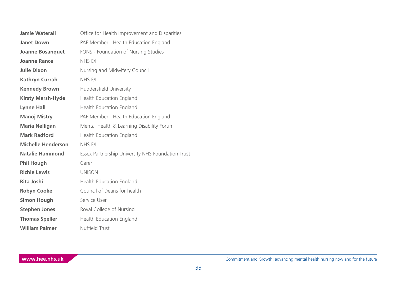| <b>Jamie Waterall</b>     | Office for Health Improvement and Disparities     |
|---------------------------|---------------------------------------------------|
| <b>Janet Down</b>         | PAF Member - Health Education England             |
| <b>Joanne Bosanquet</b>   | FONS - Foundation of Nursing Studies              |
| <b>Joanne Rance</b>       | NHS E/I                                           |
| <b>Julie Dixon</b>        | Nursing and Midwifery Council                     |
| <b>Kathryn Currah</b>     | NHS E/I                                           |
| <b>Kennedy Brown</b>      | Huddersfield University                           |
| <b>Kirsty Marsh-Hyde</b>  | Health Education England                          |
| <b>Lynne Hall</b>         | Health Education England                          |
| <b>Manoj Mistry</b>       | PAF Member - Health Education England             |
| <b>Maria Nelligan</b>     | Mental Health & Learning Disability Forum         |
| <b>Mark Radford</b>       | Health Education England                          |
| <b>Michelle Henderson</b> | NHS E/I                                           |
| <b>Natalie Hammond</b>    | Essex Partnership University NHS Foundation Trust |
| <b>Phil Hough</b>         | Carer                                             |
| <b>Richie Lewis</b>       | <b>UNISON</b>                                     |
| <b>Rita Joshi</b>         | Health Education England                          |
| <b>Robyn Cooke</b>        | Council of Deans for health                       |
| <b>Simon Hough</b>        | Service User                                      |
| <b>Stephen Jones</b>      | Royal College of Nursing                          |
| <b>Thomas Speller</b>     | Health Education England                          |
| <b>William Palmer</b>     | Nuffield Trust                                    |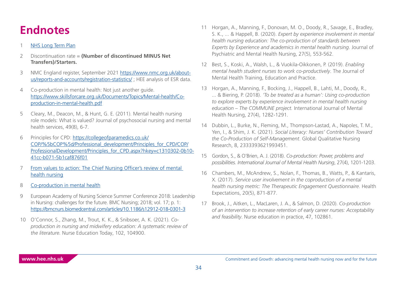# <span id="page-33-0"></span>**Endnotes**

#### [NHS Long Term Plan](https://www.longtermplan.nhs.uk/)

- [2](#page-7-0) Discontinuation rate = **(Number of discontinued MINUS Net Transfers)/Starters.**
- [3](#page-8-0) NMC England register, September 2021 [https://www.nmc.org.uk/about](https://www.nmc.org.uk/about-us/reports-and-accounts/registration-statistics/)[us/reports-and-accounts/registration-statistics/](https://www.nmc.org.uk/about-us/reports-and-accounts/registration-statistics/) ; HEE analysis of ESR data.
- [4](#page-9-0) Co-production in mental health: Not just another guide. [https://www.skillsforcare.org.uk/Documents/Topics/Mental-health/Co](https://www.skillsforcare.org.uk/Documents/Topics/Mental-health/Co-production-in-mental-health.pdf)[production-in-mental-health.pdf](https://www.skillsforcare.org.uk/Documents/Topics/Mental-health/Co-production-in-mental-health.pdf)
- [5](#page-10-0) Cleary, M., Deacon, M., & Hunt, G. E. (2011). Mental health nursing role models: What is valued? Journal of psychosocial nursing and mental health services, 49(8), 6-7.
- [6](#page-10-0) Principles for CPD: [https://collegeofparamedics.co.uk/](https://collegeofparamedics.co.uk/COP/%5bCOP%5d/Professional_development/Principles_for_CPD/COP/Prof) [COP/%5bCOP%5d/Professional\\_development/Principles\\_for\\_CPD/COP/](https://collegeofparamedics.co.uk/COP/%5bCOP%5d/Professional_development/Principles_for_CPD/COP/Prof) [ProfessionalDevelopment/Principles\\_for\\_CPD.aspx?hkey=c1310302-0b10-](https://collegeofparamedics.co.uk/COP/%5bCOP%5d/Professional_development/Principles_for_CPD/COP/Prof) [41cc-b071-5b1caf876f01](https://collegeofparamedics.co.uk/COP/%5bCOP%5d/Professional_development/Principles_for_CPD/COP/Prof)
- [7](#page-11-0) From values to action: The Chief Nursing Officer's review of mental [health nursing](https://webarchive.nationalarchives.gov.uk/ukgwa/+/www.dh.gov.uk/assetRoot/04/13/38/40/04133840.pdf)
- [8](#page-11-0) [Co-production in mental health](https://www.skillsforcare.org.uk/Documents/Topics/Mental-health/Co-production-in-mental-health.pdf)
- [9](#page-11-0) European Academy of Nursing Science Summer Conference 2018: Leadership in Nursing: challenges for the future. BMC Nursing; 2018; vol. 17; p. 1: <https://bmcnurs.biomedcentral.com/articles/10.1186/s12912-018-0301-3>
- [10](#page-11-0) O'Connor, S., Zhang, M., Trout, K. K., & Snibsoer, A. K. (2021). *Coproduction in nursing and midwifery education: A systematic review of the literature.* Nurse Education Today, 102, 104900.
- [11](#page-11-0) Horgan, A., Manning, F., Donovan, M. O., Doody, R., Savage, E., Bradley, S. K., ... & Happell, B. (2020). *Expert by experience involvement in mental health nursing education: The co-production of standards between Experts by Experience and academics in mental health nursing*. Journal of Psychiatric and Mental Health Nursing, 27(5), 553-562.
- [12](#page-11-0) Best, S., Koski, A., Walsh, L., & Vuokila-Oikkonen, P. (2019). *Enabling mental health student nurses to work co-productively*. The Journal of Mental Health Training, Education and Practice.
- [13](#page-11-0) Horgan, A., Manning, F., Bocking, J., Happell, B., Lahti, M., Doody, R., ... & Biering, P. (2018). *'To be treated as a human': Using co-production to explore experts by experience involvement in mental health nursing education – The COMMUNE project.* International Journal of Mental Health Nursing, 27(4), 1282-1291.
- [14](#page-11-0) Dubbin, L., Burke, N., Fleming, M., Thompson-Lastad, A., Napoles, T. M., Yen, I., & Shim, J. K. (2021). *Social Literacy: Nurses' Contribution Toward the Co-Production of Self-Management*. Global Qualitative Nursing Research, 8, 2333393621993451.
- [15](#page-11-0) Gordon, S., & O'Brien, A. J. (2018). *Co-production: Power, problems and possibilities. International Journal of Mental Health Nursing*, 27(4), 1201-1203.
- [16](#page-11-0) Chambers, M., McAndrew, S., Nolan, F., Thomas, B., Watts, P., & Kantaris, X. (2017). *Service user involvement in the coproduction of a mental health nursing metric: The Therapeutic Engagement Questionnaire*. Health Expectations, 20(5), 871-877.
- [17](#page-11-0) Brook, J., Aitken, L., MacLaren, J. A., & Salmon, D. (2020). *Co-production of an intervention to increase retention of early career nurses: Acceptability and feasibility*. Nurse education in practice, 47, 102861.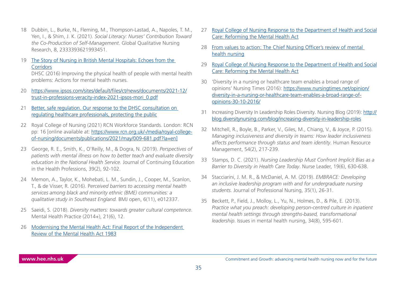- <span id="page-34-0"></span>[18](#page-11-0) Dubbin, L., Burke, N., Fleming, M., Thompson-Lastad, A., Napoles, T. M., Yen, I., & Shim, J. K. (2021). *Social Literacy: Nurses' Contribution Toward the Co-Production of Self-Management*. Global Qualitative Nursing Research, 8, 2333393621993451.
- [19](#page-11-0) [The Story of Nursing in British Mental Hospitals: Echoes from the](https://books.google.co.uk/books?id=hW-aCwAAQBAJ)  **[Corridors](https://books.google.co.uk/books?id=hW-aCwAAQBAJ)**

DHSC (2016) Improving the physical health of people with mental health problems: Actions for mental health nurses.

- [20](#page-11-0) [https://www.ipsos.com/sites/default/files/ct/news/documents/2021-12/](https://www.ipsos.com/sites/default/files/ct/news/documents/2021-12/trust-in-professions-veracity-index-2021-ipsos-mori_0.pdf) [trust-in-professions-veracity-index-2021-ipsos-mori\\_0.pdf](https://www.ipsos.com/sites/default/files/ct/news/documents/2021-12/trust-in-professions-veracity-index-2021-ipsos-mori_0.pdf)
- [21](#page-11-0) Better, safe regulation. Our response to the DHSC consultation on [regulating healthcare professionals, protecting the public](https://www.nmc.org.uk/globalassets/sitedocuments/consultations/nmc-responses/2021/nmc-response-to-the-dhsc-consultation-on-regulating-healthcare-professionals-protecting-the-public.pdf)
- [22](#page-13-0) Royal College of Nursing (2021) RCN Workforce Standards. London: RCN pp: 16 [online available at: [https://www.rcn.org.uk/-/media/royal-college](https://www.rcn.org.uk/-/media/royal-college-of-nursing/documents/publications/2021/may/009-681.pdf?)[of-nursing/documents/publications/2021/may/009-681.pdf?la=en\]](https://www.rcn.org.uk/-/media/royal-college-of-nursing/documents/publications/2021/may/009-681.pdf?)
- [23](#page-15-0) George, R. E., Smith, K., O'Reilly, M., & Dogra, N. (2019). *Perspectives of patients with mental illness on how to better teach and evaluate diversity education in the National Health Service.* Journal of Continuing Education in the Health Professions, 39(2), 92-102.
- [24](#page-15-0) Memon, A., Taylor, K., Mohebati, L. M., Sundin, J., Cooper, M., Scanlon, T., & de Visser, R. (2016). P*erceived barriers to accessing mental health services among black and minority ethnic (BME) communities: a qualitative study in Southeast England.* BMJ open, 6(11), e012337.
- [25](#page-15-0) Saeidi, S. (2018). *Diversity matters: towards greater cultural competence*. Mental Health Practice (2014+), 21(6), 12.
- [26](#page-15-0) [Modernising the Mental Health Act: Final Report of the Independent](https://assets.publishing.service.gov.uk/government/uploads/system/uploads/attachment_data/file/778897/Modernising_the_Mental_Health_Act_-_increasing_choice__reducing_compulsion.pdf)  [Review of the Mental Health Act 1983](https://assets.publishing.service.gov.uk/government/uploads/system/uploads/attachment_data/file/778897/Modernising_the_Mental_Health_Act_-_increasing_choice__reducing_compulsion.pdf)
- [27](#page-15-0) [Royal College of Nursing Response to the Department of Health and Social](https://www.rcn.org.uk/about-us/our-influencing-work/policy-briefings/cpc-009-21) [Care: Reforming the Mental Health Act](https://www.rcn.org.uk/about-us/our-influencing-work/policy-briefings/cpc-009-21)
- [28](#page-16-0) [From values to action: The Chief Nursing Officer's review of mental](https://webarchive.nationalarchives.gov.uk/ukgwa/+/www.dh.gov.uk/assetRoot/04/13/38/40/04133840.pdf)  [health nursing](https://webarchive.nationalarchives.gov.uk/ukgwa/+/www.dh.gov.uk/assetRoot/04/13/38/40/04133840.pdf)
- [29](#page-17-0) [Royal College of Nursing Response to the Department of Health and Social](https://www.rcn.org.uk/about-us/our-influencing-work/policy-briefings/cpc-009-21) [Care: Reforming the Mental Health Act](https://www.rcn.org.uk/about-us/our-influencing-work/policy-briefings/cpc-009-21)
- [30](#page-17-0) 'Diversity in a nursing or healthcare team enables a broad range of opinions' Nursing Times (2016): [https://www.nursingtimes.net/opinion/](https://www.rcn.org.uk/about-us/our-influencing-work/policy-briefings/cpc-009-21) [diversity-in-a-nursing-or-healthcare-team-enables-a-broad-range-of](https://www.rcn.org.uk/about-us/our-influencing-work/policy-briefings/cpc-009-21)[opinions-30-10-2016/](https://www.rcn.org.uk/about-us/our-influencing-work/policy-briefings/cpc-009-21)
- [31](#page-17-0) Increasing Diversity In Leadership Roles Diversity. Nursing Blog (2019): [http://](http://blog.diversitynursing.com/blog/increasing-diversity-in-leadership-roles) [blog.diversitynursing.com/blog/increasing-diversity-in-leadership-roles](http://blog.diversitynursing.com/blog/increasing-diversity-in-leadership-roles)
- [32](#page-17-0) Mitchell, R., Boyle, B., Parker, V., Giles, M., Chiang, V., & Joyce, P. (2015). *Managing inclusiveness and diversity in teams: How leader inclusiveness affects performance through status and team identity.* Human Resource Management, 54(2), 217-239.
- [33](#page-17-0) Stamps, D. C. (2021). *Nursing Leadership Must Confront Implicit Bias as a Barrier to Diversity in Health Care Today*. Nurse Leader, 19(6), 630-638.
- [34](#page-17-0) Stacciarini, J. M. R., & McDaniel, A. M. (2019). *EMBRACE: Developing an inclusive leadership program with and for undergraduate nursing students.* Journal of Professional Nursing, 35(1), 26-31.
- [35](#page-17-0) Beckett, P., Field, J., Molloy, L., Yu, N., Holmes, D., & Pile, E. (2013). *Practice what you preach: developing person-centred culture in inpatient mental health settings through strengths-based, transformational leadership*. Issues in mental health nursing, 34(8), 595-601.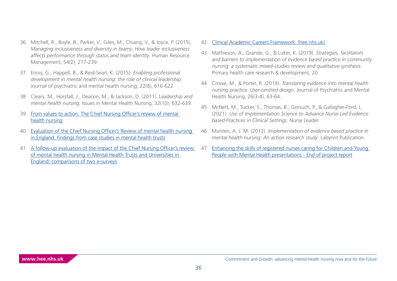- <span id="page-35-0"></span>[36](#page-17-0) Mitchell, R., Boyle, B., Parker, V., Giles, M., Chiang, V., & Joyce, P. (2015). *Managing inclusiveness and diversity in teams: How leader inclusiveness affects performance through status and team identity.* Human Resource Management, 54(2), 217-239.
- [37](#page-17-0) Ennis, G., Happell, B., & Reid-Searl, K. (2015). *Enabling professional development in mental health nursing: the role of clinical leadership.*  Journal of psychiatric and mental health nursing, 22(8), 616-622.
- [38](#page-17-0) Cleary, M., Horsfall, J., Deacon, M., & Jackson, D. (2011). L*eadership and mental health nursing.* Issues in Mental Health Nursing, 32(10), 632-639.
- [39](#page-21-0) [From values to action: The Chief Nursing Officer's review of mental](https://webarchive.nationalarchives.gov.uk/ukgwa/+/www.dh.gov.uk/assetRoot/04/13/38/40/04133840.pdf)  [health nursing](https://webarchive.nationalarchives.gov.uk/ukgwa/+/www.dh.gov.uk/assetRoot/04/13/38/40/04133840.pdf)
- [40](#page-21-0) [Evaluation of the Chief Nursing Officer's Review of mental health nursing](https://onlinelibrary.wiley.com/doi/abs/10.1111/j.1365-2850.2011.01841.x)  [in England: findings from case studies in mental health trusts](https://onlinelibrary.wiley.com/doi/abs/10.1111/j.1365-2850.2011.01841.x)
- [41](#page-21-0) [A follow-up evaluation of the impact of the Chief Nursing Officer's review](https://pubmed.ncbi.nlm.nih.gov/21733138/)  [of mental health nursing in Mental Health Trusts and Universities in](https://pubmed.ncbi.nlm.nih.gov/21733138/)  [England: comparisons of two e-surveys](https://pubmed.ncbi.nlm.nih.gov/21733138/)

#### [42](#page-21-0) [Clinical Academic Careers Framework: \(hee.nhs.uk\)](https://www.hee.nhs.uk/sites/default/files/documents/2018-02%20CAC%20Framework.pdf)

- [43](#page-21-0) Mathieson, A., Grande, G., & Luker, K. (2019). *Strategies, facilitators and barriers to implementation of evidence based practice in community nursing: a systematic mixed-studies review and qualitative synthesis*. Primary health care research & development, 20.
- [44](#page-21-0) Crowe, M., & Porter, R. (2019). *Translating evidence into mental health nursing practice: User-centred design.* Journal of Psychiatric and Mental Health Nursing, 26(3-4), 63-64.
- [45](#page-21-0) McNett, M., Tucker, S., Thomas, B., Gorsuch, P., & Gallagher-Ford, L. (2021). *Use of Implementation Science to Advance Nurse-Led Evidence based Practices in Clinical Settings*. Nurse Leader.
- [46](#page-21-0) Munten, A. J. M. (2012). *Implementation of evidence based practice in mental health nursing: An action research study.* Labyrint Publication.
- [47](#page-26-0) [Enhancing the skills of registered nurses caring for Children and Young](https://trustsrv-io-tavistock-tenant-mediabucket-jxlat5oi107p.s3.amazonaws.com/media/documents/2.7__Enhancing_the_skills_of_nurses_in_CYP_MHS_End_of_project_report_v6.pdf?X-Amz-Algorithm=AWS4-HMAC-SHA256&X-Amz-Credential=AKIASPFGSFA5MV75PZDY%2F20220413%2Feu-west-2%2Fs3%2Faws4_request&X-Amz-Date=20220413T133513Z&X-Amz-Expires=3600&X-Amz-SignedHeaders=host&X-Amz-Signature=a4280fcfe0e0609062ec0511f9ac1ea76fba11e096b6928b2d2c7e86107f2e77)  [People with Mental Health presentations - End of project report](https://trustsrv-io-tavistock-tenant-mediabucket-jxlat5oi107p.s3.amazonaws.com/media/documents/2.7__Enhancing_the_skills_of_nurses_in_CYP_MHS_End_of_project_report_v6.pdf?X-Amz-Algorithm=AWS4-HMAC-SHA256&X-Amz-Credential=AKIASPFGSFA5MV75PZDY%2F20220413%2Feu-west-2%2Fs3%2Faws4_request&X-Amz-Date=20220413T133513Z&X-Amz-Expires=3600&X-Amz-SignedHeaders=host&X-Amz-Signature=a4280fcfe0e0609062ec0511f9ac1ea76fba11e096b6928b2d2c7e86107f2e77)